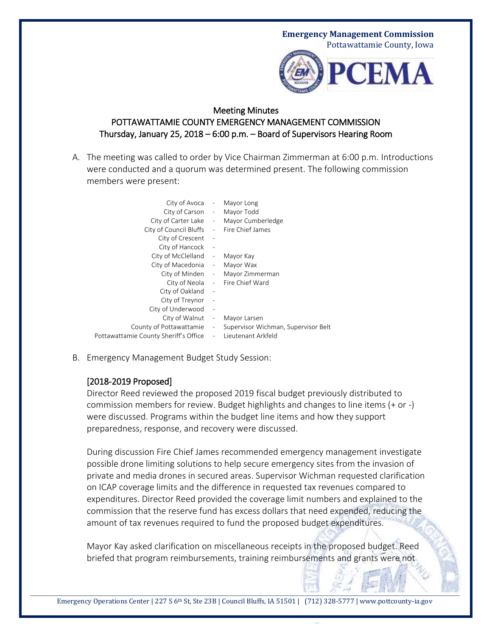## **Emergency Management Commission** Pottawattamie County, Iowa



## Meeting Minutes POTTAWATTAMIE COUNTY EMERGENCY MANAGEMENT COMMISSION Thursday, January 25, 2018 – 6:00 p.m. – Board of Supervisors Hearing Room

A. The meeting was called to order by Vice Chairman Zimmerman at 6:00 p.m. Introductions were conducted and a quorum was determined present. The following commission members were present:

| City of Avoca -                       |                              | Mayor Long                          |
|---------------------------------------|------------------------------|-------------------------------------|
| City of Carson - Mayor Todd           |                              |                                     |
| City of Carter Lake                   |                              | - Mayor Cumberledge                 |
| City of Council Bluffs                |                              | - Fire Chief James                  |
| City of Crescent                      |                              |                                     |
| City of Hancock                       | $\overline{\phantom{m}}$     |                                     |
| City of McClelland -                  |                              | Mayor Kay                           |
| City of Macedonia -                   |                              | Mayor Wax                           |
|                                       |                              | City of Minden - Mayor Zimmerman    |
|                                       |                              | City of Neola - Fire Chief Ward     |
| City of Oakland                       |                              |                                     |
| City of Treynor                       | $\qquad \qquad \blacksquare$ |                                     |
| City of Underwood                     | $\overline{a}$               |                                     |
| City of Walnut -                      |                              | Mayor Larsen                        |
| County of Pottawattamie -             |                              | Supervisor Wichman, Supervisor Belt |
| Pottawattamie County Sheriff's Office | $\overline{\phantom{a}}$     | Lieutenant Arkfeld                  |
|                                       |                              |                                     |

B. Emergency Management Budget Study Session:

## [2018-2019 Proposed]

Director Reed reviewed the proposed 2019 fiscal budget previously distributed to commission members for review. Budget highlights and changes to line items (+ or -) were discussed. Programs within the budget line items and how they support preparedness, response, and recovery were discussed.

During discussion Fire Chief James recommended emergency management investigate possible drone limiting solutions to help secure emergency sites from the invasion of private and media drones in secured areas. Supervisor Wichman requested clarification on ICAP coverage limits and the difference in requested tax revenues compared to expenditures. Director Reed provided the coverage limit numbers and explained to the commission that the reserve fund has excess dollars that need expended, reducing the amount of tax revenues required to fund the proposed budget expenditures.

Mayor Kay asked clarification on miscellaneous receipts in the proposed budget. Reed briefed that program reimbursements, training reimbursements and grants were not

Emergency Operations Center | 227 S 6<sup>th</sup> St, Ste 23B | Council Bluffs, IA 51501 | (712) 328-5777 | www.pottcounty-ia.gov